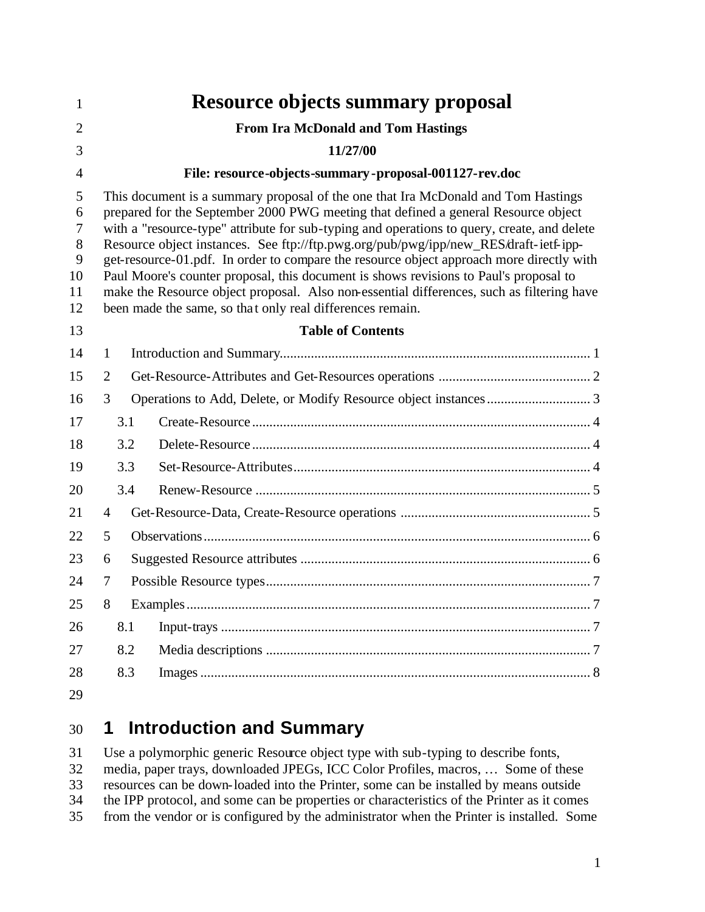| 1                                       |                                                        |                                           | <b>Resource objects summary proposal</b>                                                                                                                                                                                                                                                                                                                                                                                                                                                                                                                                                                                                                                                                      |  |  |  |  |  |
|-----------------------------------------|--------------------------------------------------------|-------------------------------------------|---------------------------------------------------------------------------------------------------------------------------------------------------------------------------------------------------------------------------------------------------------------------------------------------------------------------------------------------------------------------------------------------------------------------------------------------------------------------------------------------------------------------------------------------------------------------------------------------------------------------------------------------------------------------------------------------------------------|--|--|--|--|--|
| $\overline{2}$                          |                                                        | <b>From Ira McDonald and Tom Hastings</b> |                                                                                                                                                                                                                                                                                                                                                                                                                                                                                                                                                                                                                                                                                                               |  |  |  |  |  |
| 3                                       |                                                        | 11/27/00                                  |                                                                                                                                                                                                                                                                                                                                                                                                                                                                                                                                                                                                                                                                                                               |  |  |  |  |  |
| $\overline{4}$                          | File: resource-objects-summary-proposal-001127-rev.doc |                                           |                                                                                                                                                                                                                                                                                                                                                                                                                                                                                                                                                                                                                                                                                                               |  |  |  |  |  |
| 5<br>6<br>7<br>8<br>9<br>10<br>11<br>12 |                                                        |                                           | This document is a summary proposal of the one that Ira McDonald and Tom Hastings<br>prepared for the September 2000 PWG meeting that defined a general Resource object<br>with a "resource-type" attribute for sub-typing and operations to query, create, and delete<br>Resource object instances. See ftp://ftp.pwg.org/pub/pwg/ipp/new_RES/draft-ietf-ipp-<br>get-resource-01.pdf. In order to compare the resource object approach more directly with<br>Paul Moore's counter proposal, this document is shows revisions to Paul's proposal to<br>make the Resource object proposal. Also non-essential differences, such as filtering have<br>been made the same, so that only real differences remain. |  |  |  |  |  |
| 13                                      | <b>Table of Contents</b>                               |                                           |                                                                                                                                                                                                                                                                                                                                                                                                                                                                                                                                                                                                                                                                                                               |  |  |  |  |  |
| 14                                      | 1                                                      |                                           |                                                                                                                                                                                                                                                                                                                                                                                                                                                                                                                                                                                                                                                                                                               |  |  |  |  |  |
| 15                                      | $\overline{2}$                                         |                                           |                                                                                                                                                                                                                                                                                                                                                                                                                                                                                                                                                                                                                                                                                                               |  |  |  |  |  |
| 16                                      | 3                                                      |                                           |                                                                                                                                                                                                                                                                                                                                                                                                                                                                                                                                                                                                                                                                                                               |  |  |  |  |  |
| 17                                      |                                                        | 3.1                                       |                                                                                                                                                                                                                                                                                                                                                                                                                                                                                                                                                                                                                                                                                                               |  |  |  |  |  |
| 18                                      |                                                        | 3.2                                       |                                                                                                                                                                                                                                                                                                                                                                                                                                                                                                                                                                                                                                                                                                               |  |  |  |  |  |
| 19                                      |                                                        | 3.3                                       |                                                                                                                                                                                                                                                                                                                                                                                                                                                                                                                                                                                                                                                                                                               |  |  |  |  |  |
| 20                                      |                                                        | 3.4                                       |                                                                                                                                                                                                                                                                                                                                                                                                                                                                                                                                                                                                                                                                                                               |  |  |  |  |  |
| 21                                      | $\overline{4}$                                         |                                           |                                                                                                                                                                                                                                                                                                                                                                                                                                                                                                                                                                                                                                                                                                               |  |  |  |  |  |
| 22                                      | 5                                                      |                                           |                                                                                                                                                                                                                                                                                                                                                                                                                                                                                                                                                                                                                                                                                                               |  |  |  |  |  |
| 23                                      | 6                                                      |                                           |                                                                                                                                                                                                                                                                                                                                                                                                                                                                                                                                                                                                                                                                                                               |  |  |  |  |  |
| 24                                      | 7                                                      |                                           |                                                                                                                                                                                                                                                                                                                                                                                                                                                                                                                                                                                                                                                                                                               |  |  |  |  |  |
| 25                                      | 8<br>Examples<br>. 7                                   |                                           |                                                                                                                                                                                                                                                                                                                                                                                                                                                                                                                                                                                                                                                                                                               |  |  |  |  |  |
| 26                                      |                                                        | 8.1                                       |                                                                                                                                                                                                                                                                                                                                                                                                                                                                                                                                                                                                                                                                                                               |  |  |  |  |  |
| 27                                      |                                                        | 8.2                                       |                                                                                                                                                                                                                                                                                                                                                                                                                                                                                                                                                                                                                                                                                                               |  |  |  |  |  |
| 28                                      |                                                        | 8.3                                       |                                                                                                                                                                                                                                                                                                                                                                                                                                                                                                                                                                                                                                                                                                               |  |  |  |  |  |
| 29                                      |                                                        |                                           |                                                                                                                                                                                                                                                                                                                                                                                                                                                                                                                                                                                                                                                                                                               |  |  |  |  |  |

#### **1 Introduction and Summary**

 Use a polymorphic generic Resource object type with sub-typing to describe fonts, media, paper trays, downloaded JPEGs, ICC Color Profiles, macros, … Some of these resources can be down-loaded into the Printer, some can be installed by means outside the IPP protocol, and some can be properties or characteristics of the Printer as it comes from the vendor or is configured by the administrator when the Printer is installed. Some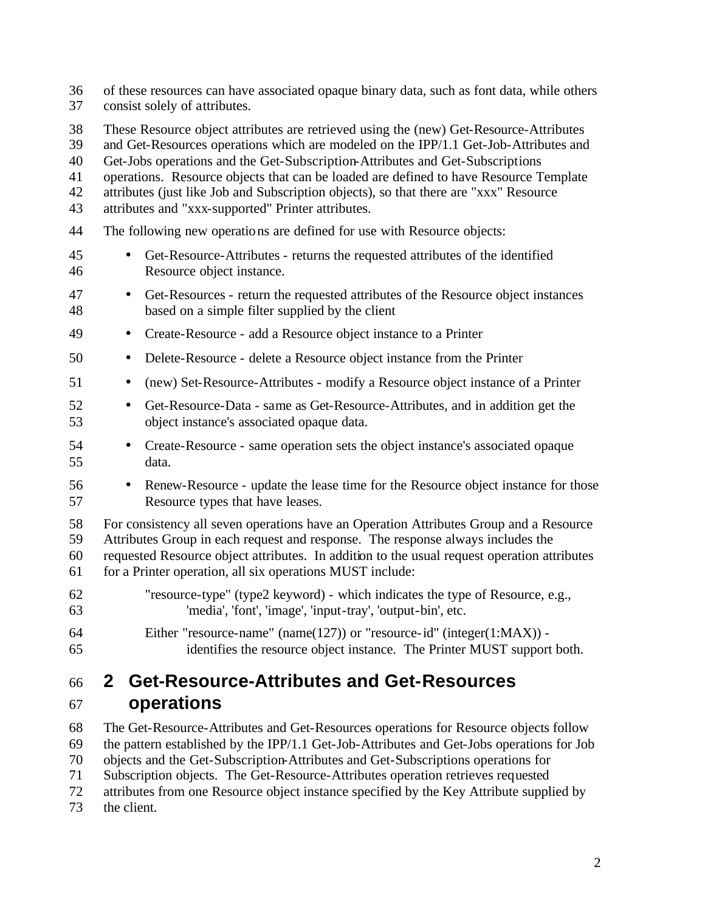of these resources can have associated opaque binary data, such as font data, while others consist solely of attributes.

- These Resource object attributes are retrieved using the (new) Get-Resource-Attributes
- and Get-Resources operations which are modeled on the IPP/1.1 Get-Job-Attributes and
- Get-Jobs operations and the Get-Subscription-Attributes and Get-Subscriptions
- operations. Resource objects that can be loaded are defined to have Resource Template
- attributes (just like Job and Subscription objects), so that there are "xxx" Resource
- attributes and "xxx-supported" Printer attributes.
- The following new operations are defined for use with Resource objects:
- Get-Resource-Attributes returns the requested attributes of the identified Resource object instance.
- Get-Resources return the requested attributes of the Resource object instances based on a simple filter supplied by the client
- Create-Resource add a Resource object instance to a Printer
- Delete-Resource delete a Resource object instance from the Printer
- (new) Set-Resource-Attributes modify a Resource object instance of a Printer
- Get-Resource-Data same as Get-Resource-Attributes, and in addition get the object instance's associated opaque data.
- Create-Resource same operation sets the object instance's associated opaque data.
- Renew-Resource update the lease time for the Resource object instance for those Resource types that have leases.
- For consistency all seven operations have an Operation Attributes Group and a Resource

Attributes Group in each request and response. The response always includes the

- requested Resource object attributes. In addition to the usual request operation attributes for a Printer operation, all six operations MUST include:
- "resource-type" (type2 keyword) which indicates the type of Resource, e.g., 'media', 'font', 'image', 'input-tray', 'output-bin', etc.
- Either "resource-name" (name(127)) or "resource-id" (integer(1:MAX)) identifies the resource object instance. The Printer MUST support both.

### **2 Get-Resource-Attributes and Get-Resources operations**

 The Get-Resource-Attributes and Get-Resources operations for Resource objects follow the pattern established by the IPP/1.1 Get-Job-Attributes and Get-Jobs operations for Job objects and the Get-Subscription-Attributes and Get-Subscriptions operations for Subscription objects. The Get-Resource-Attributes operation retrieves requested attributes from one Resource object instance specified by the Key Attribute supplied by the client.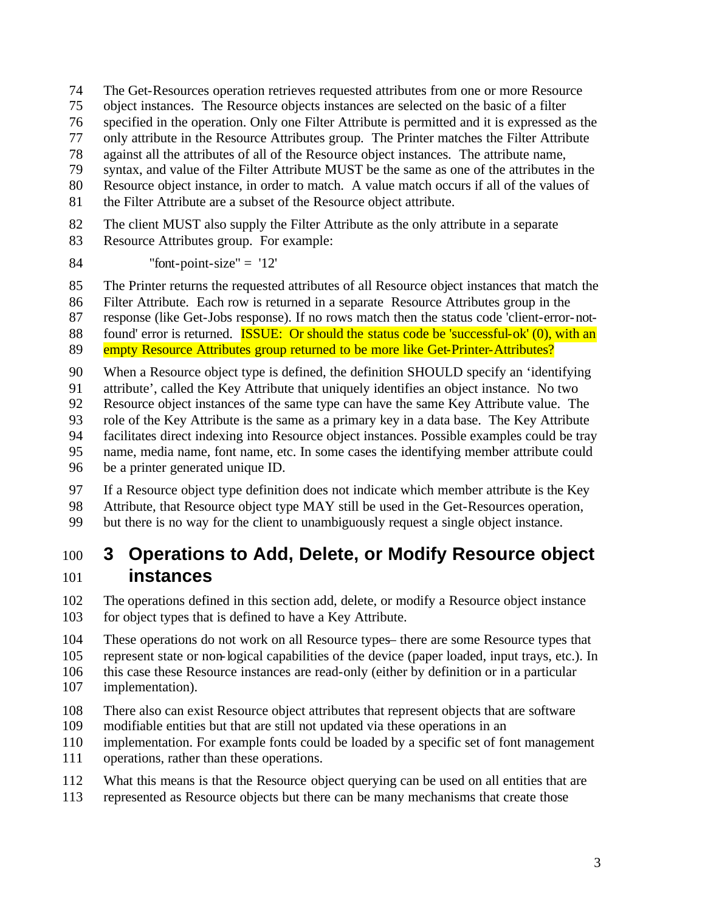- The Get-Resources operation retrieves requested attributes from one or more Resource
- object instances. The Resource objects instances are selected on the basic of a filter
- specified in the operation. Only one Filter Attribute is permitted and it is expressed as the
- only attribute in the Resource Attributes group. The Printer matches the Filter Attribute
- against all the attributes of all of the Resource object instances. The attribute name,
- syntax, and value of the Filter Attribute MUST be the same as one of the attributes in the
- Resource object instance, in order to match. A value match occurs if all of the values of
- the Filter Attribute are a subset of the Resource object attribute.
- The client MUST also supply the Filter Attribute as the only attribute in a separate
- Resource Attributes group. For example:
- 84 "font-point-size" =  $'12'$
- The Printer returns the requested attributes of all Resource object instances that match the
- Filter Attribute. Each row is returned in a separate Resource Attributes group in the
- response (like Get-Jobs response). If no rows match then the status code 'client-error-not-
- 88 found' error is returned. **ISSUE:** Or should the status code be 'successful-ok' (0), with an
- 89 empty Resource Attributes group returned to be more like Get-Printer-Attributes?
- When a Resource object type is defined, the definition SHOULD specify an 'identifying
- attribute', called the Key Attribute that uniquely identifies an object instance. No two
- Resource object instances of the same type can have the same Key Attribute value. The
- role of the Key Attribute is the same as a primary key in a data base. The Key Attribute
- facilitates direct indexing into Resource object instances. Possible examples could be tray
- name, media name, font name, etc. In some cases the identifying member attribute could
- be a printer generated unique ID.
- If a Resource object type definition does not indicate which member attribute is the Key Attribute, that Resource object type MAY still be used in the Get-Resources operation,
- but there is no way for the client to unambiguously request a single object instance.
- **3 Operations to Add, Delete, or Modify Resource object instances**
- The operations defined in this section add, delete, or modify a Resource object instance 103 for object types that is defined to have a Key Attribute.
- These operations do not work on all Resource types– there are some Resource types that
- represent state or non-logical capabilities of the device (paper loaded, input trays, etc.). In
- this case these Resource instances are read-only (either by definition or in a particular
- implementation).
- There also can exist Resource object attributes that represent objects that are software
- modifiable entities but that are still not updated via these operations in an
- implementation. For example fonts could be loaded by a specific set of font management
- operations, rather than these operations.
- What this means is that the Resource object querying can be used on all entities that are
- represented as Resource objects but there can be many mechanisms that create those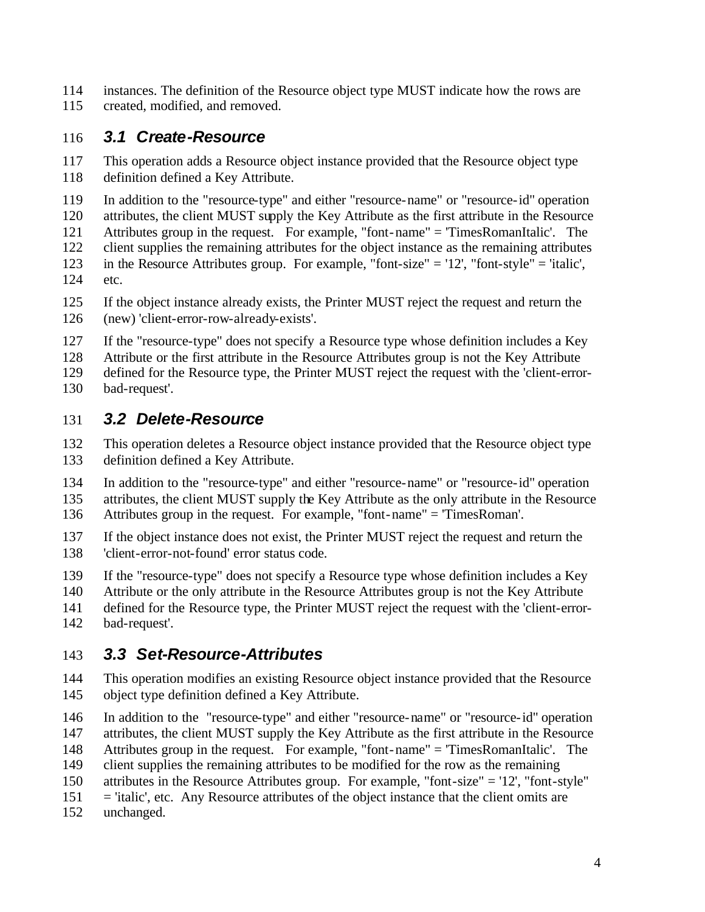- instances. The definition of the Resource object type MUST indicate how the rows are
- created, modified, and removed.

#### *3.1 Create-Resource*

 This operation adds a Resource object instance provided that the Resource object type definition defined a Key Attribute.

In addition to the "resource-type" and either "resource-name" or "resource-id" operation

attributes, the client MUST supply the Key Attribute as the first attribute in the Resource

- Attributes group in the request. For example, "font-name" = 'TimesRomanItalic'. The client supplies the remaining attributes for the object instance as the remaining attributes
- in the Resource Attributes group. For example, "font-size" = '12', "font-style" = 'italic', etc.
- If the object instance already exists, the Printer MUST reject the request and return the (new) 'client-error-row-already-exists'.
- If the "resource-type" does not specify a Resource type whose definition includes a Key

Attribute or the first attribute in the Resource Attributes group is not the Key Attribute

 defined for the Resource type, the Printer MUST reject the request with the 'client-error-bad-request'.

#### *3.2 Delete-Resource*

 This operation deletes a Resource object instance provided that the Resource object type definition defined a Key Attribute.

- In addition to the "resource-type" and either "resource-name" or "resource-id" operation 135 attributes, the client MUST supply the Key Attribute as the only attribute in the Resource Attributes group in the request. For example, "font-name" = 'TimesRoman'.
- If the object instance does not exist, the Printer MUST reject the request and return the 'client-error-not-found' error status code.

If the "resource-type" does not specify a Resource type whose definition includes a Key

- Attribute or the only attribute in the Resource Attributes group is not the Key Attribute
- defined for the Resource type, the Printer MUST reject the request with the 'client-error-
- bad-request'.

# *3.3 Set-Resource-Attributes*

- This operation modifies an existing Resource object instance provided that the Resource object type definition defined a Key Attribute.
- In addition to the "resource-type" and either "resource-name" or "resource-id" operation
- attributes, the client MUST supply the Key Attribute as the first attribute in the Resource
- Attributes group in the request. For example, "font-name" = 'TimesRomanItalic'. The
- client supplies the remaining attributes to be modified for the row as the remaining
- attributes in the Resource Attributes group. For example, "font-size" = '12', "font-style"
- = 'italic', etc. Any Resource attributes of the object instance that the client omits are
- unchanged.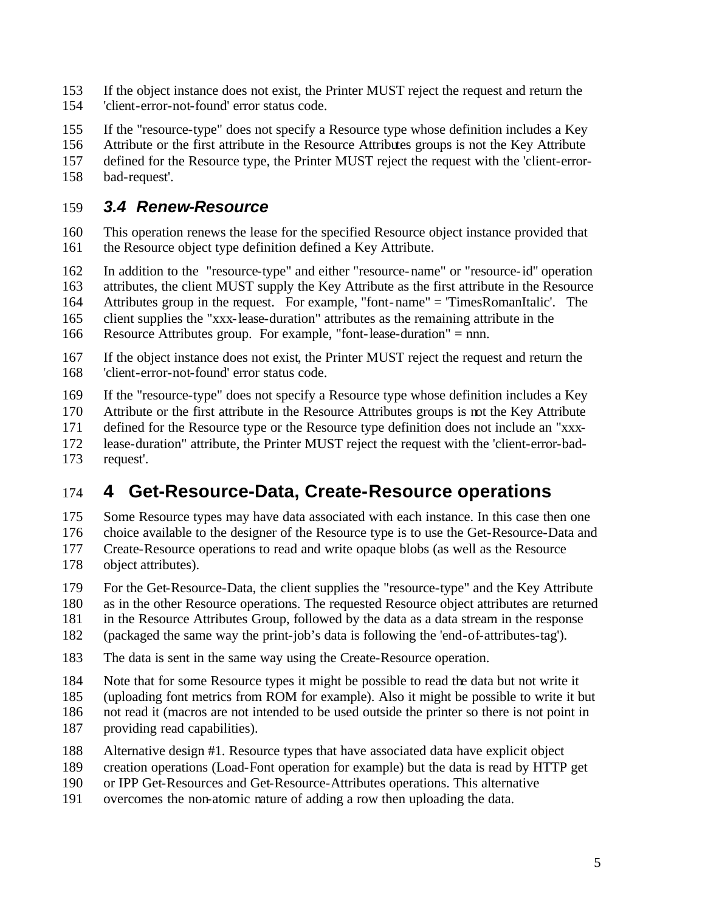If the object instance does not exist, the Printer MUST reject the request and return the 'client-error-not-found' error status code.

If the "resource-type" does not specify a Resource type whose definition includes a Key

Attribute or the first attribute in the Resource Attributes groups is not the Key Attribute

 defined for the Resource type, the Printer MUST reject the request with the 'client-error-bad-request'.

#### *3.4 Renew-Resource*

 This operation renews the lease for the specified Resource object instance provided that the Resource object type definition defined a Key Attribute.

In addition to the "resource-type" and either "resource-name" or "resource-id" operation

attributes, the client MUST supply the Key Attribute as the first attribute in the Resource

Attributes group in the request. For example, "font-name" = 'TimesRomanItalic'. The

client supplies the "xxx-lease-duration" attributes as the remaining attribute in the

Resource Attributes group. For example, "font-lease-duration" = nnn.

 If the object instance does not exist, the Printer MUST reject the request and return the 'client-error-not-found' error status code.

If the "resource-type" does not specify a Resource type whose definition includes a Key

Attribute or the first attribute in the Resource Attributes groups is not the Key Attribute

defined for the Resource type or the Resource type definition does not include an "xxx-

lease-duration" attribute, the Printer MUST reject the request with the 'client-error-bad-

request'.

# **4 Get-Resource-Data, Create-Resource operations**

 Some Resource types may have data associated with each instance. In this case then one choice available to the designer of the Resource type is to use the Get-Resource-Data and Create-Resource operations to read and write opaque blobs (as well as the Resource object attributes).

For the Get-Resource-Data, the client supplies the "resource-type" and the Key Attribute

as in the other Resource operations. The requested Resource object attributes are returned

in the Resource Attributes Group, followed by the data as a data stream in the response

(packaged the same way the print-job's data is following the 'end-of-attributes-tag').

- The data is sent in the same way using the Create-Resource operation.
- Note that for some Resource types it might be possible to read the data but not write it
- (uploading font metrics from ROM for example). Also it might be possible to write it but

not read it (macros are not intended to be used outside the printer so there is not point in

- providing read capabilities).
- Alternative design #1. Resource types that have associated data have explicit object

creation operations (Load-Font operation for example) but the data is read by HTTP get

- or IPP Get-Resources and Get-Resource-Attributes operations. This alternative
- overcomes the non-atomic nature of adding a row then uploading the data.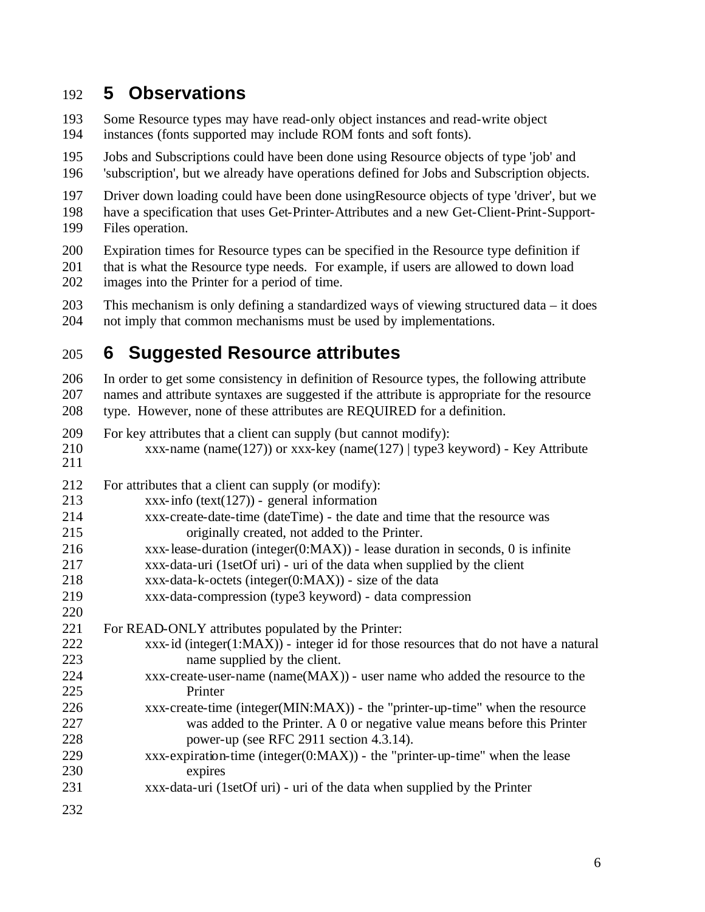#### **5 Observations**

- Some Resource types may have read-only object instances and read-write object instances (fonts supported may include ROM fonts and soft fonts).
- Jobs and Subscriptions could have been done using Resource objects of type 'job' and
- 'subscription', but we already have operations defined for Jobs and Subscription objects.
- Driver down loading could have been done usingResource objects of type 'driver', but we have a specification that uses Get-Printer-Attributes and a new Get-Client-Print-Support-Files operation.
- Expiration times for Resource types can be specified in the Resource type definition if
- that is what the Resource type needs. For example, if users are allowed to down load images into the Printer for a period of time.
- This mechanism is only defining a standardized ways of viewing structured data it does not imply that common mechanisms must be used by implementations.

### **6 Suggested Resource attributes**

 In order to get some consistency in definition of Resource types, the following attribute names and attribute syntaxes are suggested if the attribute is appropriate for the resource type. However, none of these attributes are REQUIRED for a definition.

- For key attributes that a client can supply (but cannot modify): xxx-name (name(127)) or xxx-key (name(127) | type3 keyword) - Key Attribute
- For attributes that a client can supply (or modify):
- xxx-info (text(127)) general information
- xxx-create-date-time (dateTime) the date and time that the resource was originally created, not added to the Printer.
- xxx-lease-duration (integer(0:MAX)) lease duration in seconds, 0 is infinite
- xxx-data-uri (1setOf uri) uri of the data when supplied by the client
- 218  $xxx-data-k-octets (integer(0:MAX)) size of the data$
- xxx-data-compression (type3 keyword) data compression
- For READ-ONLY attributes populated by the Printer:
- xxx-id (integer(1:MAX)) integer id for those resources that do not have a natural name supplied by the client.
- xxx-create-user-name (name(MAX)) user name who added the resource to the Printer
- xxx-create-time (integer(MIN:MAX)) the "printer-up-time" when the resource was added to the Printer. A 0 or negative value means before this Printer power-up (see RFC 2911 section 4.3.14).
- xxx-expiration-time (integer(0:MAX)) the "printer-up-time" when the lease expires
- xxx-data-uri (1setOf uri) uri of the data when supplied by the Printer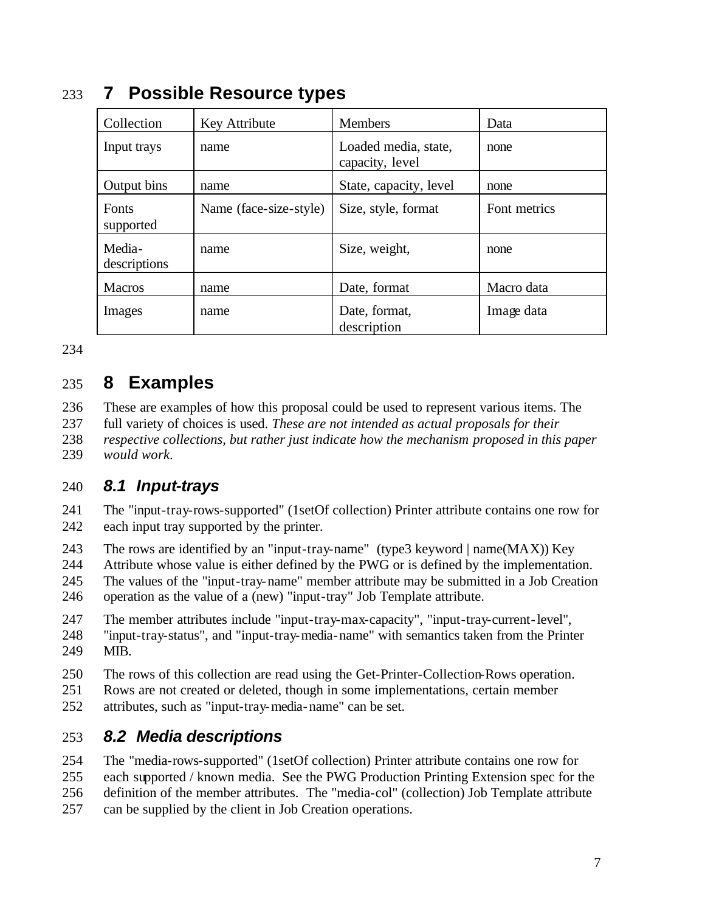| Collection             | Key Attribute          | <b>Members</b>                          | Data         |
|------------------------|------------------------|-----------------------------------------|--------------|
| Input trays            | name                   | Loaded media, state,<br>capacity, level | none         |
| Output bins            | name                   | State, capacity, level                  | none         |
| Fonts<br>supported     | Name (face-size-style) | Size, style, format                     | Font metrics |
| Media-<br>descriptions | name                   | Size, weight,                           | none         |
| <b>Macros</b>          | name                   | Date, format                            | Macro data   |
| Images                 | name                   | Date, format,<br>description            | Image data   |

### **7 Possible Resource types**

# **8 Examples**

 These are examples of how this proposal could be used to represent various items. The full variety of choices is used. *These are not intended as actual proposals for their respective collections, but rather just indicate how the mechanism proposed in this paper would work.*

#### *8.1 Input-trays*

 The "input-tray-rows-supported" (1setOf collection) Printer attribute contains one row for each input tray supported by the printer.

The rows are identified by an "input-tray-name" (type3 keyword | name(MAX)) Key

Attribute whose value is either defined by the PWG or is defined by the implementation.

 The values of the "input-tray-name" member attribute may be submitted in a Job Creation operation as the value of a (new) "input-tray" Job Template attribute.

 The member attributes include "input-tray-max-capacity", "input-tray-current-level", "input-tray-status", and "input-tray-media-name" with semantics taken from the Printer MIB.

The rows of this collection are read using the Get-Printer-Collection-Rows operation.

Rows are not created or deleted, though in some implementations, certain member

attributes, such as "input-tray-media-name" can be set.

### *8.2 Media descriptions*

The "media-rows-supported" (1setOf collection) Printer attribute contains one row for

 each supported / known media. See the PWG Production Printing Extension spec for the definition of the member attributes. The "media-col" (collection) Job Template attribute

can be supplied by the client in Job Creation operations.